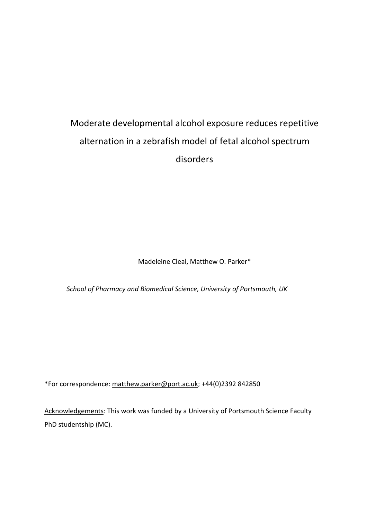# Moderate developmental alcohol exposure reduces repetitive alternation in a zebrafish model of fetal alcohol spectrum disorders

Madeleine Cleal, Matthew O. Parker\*

*School of Pharmacy and Biomedical Science, University of Portsmouth, UK*

\*For correspondence[: matthew.parker@port.ac.uk;](mailto:matthew.parker@port.ac.uk) +44(0)2392 842850

Acknowledgements: This work was funded by a University of Portsmouth Science Faculty PhD studentship (MC).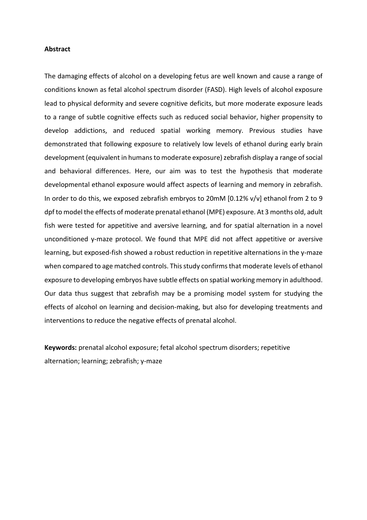### **Abstract**

The damaging effects of alcohol on a developing fetus are well known and cause a range of conditions known as fetal alcohol spectrum disorder (FASD). High levels of alcohol exposure lead to physical deformity and severe cognitive deficits, but more moderate exposure leads to a range of subtle cognitive effects such as reduced social behavior, higher propensity to develop addictions, and reduced spatial working memory. Previous studies have demonstrated that following exposure to relatively low levels of ethanol during early brain development (equivalent in humans to moderate exposure) zebrafish display a range of social and behavioral differences. Here, our aim was to test the hypothesis that moderate developmental ethanol exposure would affect aspects of learning and memory in zebrafish. In order to do this, we exposed zebrafish embryos to 20mM [0.12% v/v] ethanol from 2 to 9 dpf to model the effects of moderate prenatal ethanol (MPE) exposure. At 3 months old, adult fish were tested for appetitive and aversive learning, and for spatial alternation in a novel unconditioned y-maze protocol. We found that MPE did not affect appetitive or aversive learning, but exposed-fish showed a robust reduction in repetitive alternations in the y-maze when compared to age matched controls. This study confirms that moderate levels of ethanol exposure to developing embryos have subtle effects on spatial working memory in adulthood. Our data thus suggest that zebrafish may be a promising model system for studying the effects of alcohol on learning and decision-making, but also for developing treatments and interventions to reduce the negative effects of prenatal alcohol.

**Keywords:** prenatal alcohol exposure; fetal alcohol spectrum disorders; repetitive alternation; learning; zebrafish; y-maze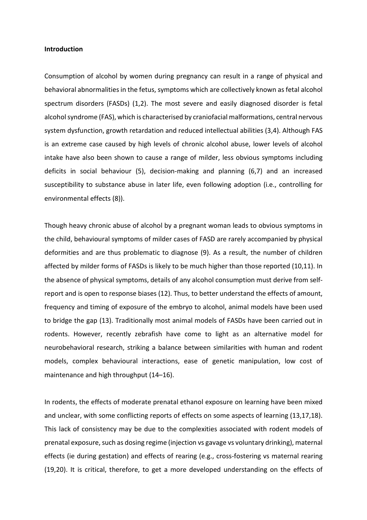#### **Introduction**

Consumption of alcohol by women during pregnancy can result in a range of physical and behavioral abnormalities in the fetus, symptoms which are collectively known as fetal alcohol spectrum disorders (FASDs) (1,2). The most severe and easily diagnosed disorder is fetal alcohol syndrome (FAS), which is characterised by craniofacial malformations, central nervous system dysfunction, growth retardation and reduced intellectual abilities (3,4). Although FAS is an extreme case caused by high levels of chronic alcohol abuse, lower levels of alcohol intake have also been shown to cause a range of milder, less obvious symptoms including deficits in social behaviour (5), decision-making and planning (6,7) and an increased susceptibility to substance abuse in later life, even following adoption (i.e., controlling for environmental effects (8)).

Though heavy chronic abuse of alcohol by a pregnant woman leads to obvious symptoms in the child, behavioural symptoms of milder cases of FASD are rarely accompanied by physical deformities and are thus problematic to diagnose (9). As a result, the number of children affected by milder forms of FASDs is likely to be much higher than those reported (10,11). In the absence of physical symptoms, details of any alcohol consumption must derive from selfreport and is open to response biases (12). Thus, to better understand the effects of amount, frequency and timing of exposure of the embryo to alcohol, animal models have been used to bridge the gap (13). Traditionally most animal models of FASDs have been carried out in rodents. However, recently zebrafish have come to light as an alternative model for neurobehavioral research, striking a balance between similarities with human and rodent models, complex behavioural interactions, ease of genetic manipulation, low cost of maintenance and high throughput (14–16).

In rodents, the effects of moderate prenatal ethanol exposure on learning have been mixed and unclear, with some conflicting reports of effects on some aspects of learning (13,17,18). This lack of consistency may be due to the complexities associated with rodent models of prenatal exposure, such as dosing regime (injection vs gavage vs voluntary drinking), maternal effects (ie during gestation) and effects of rearing (e.g., cross-fostering vs maternal rearing (19,20). It is critical, therefore, to get a more developed understanding on the effects of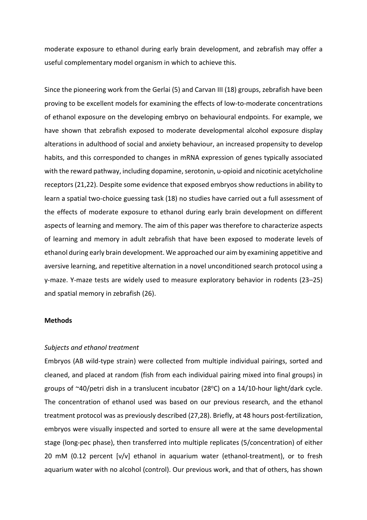moderate exposure to ethanol during early brain development, and zebrafish may offer a useful complementary model organism in which to achieve this.

Since the pioneering work from the Gerlai (5) and Carvan III (18) groups, zebrafish have been proving to be excellent models for examining the effects of low-to-moderate concentrations of ethanol exposure on the developing embryo on behavioural endpoints. For example, we have shown that zebrafish exposed to moderate developmental alcohol exposure display alterations in adulthood of social and anxiety behaviour, an increased propensity to develop habits, and this corresponded to changes in mRNA expression of genes typically associated with the reward pathway, including dopamine, serotonin, u-opioid and nicotinic acetylcholine receptors (21,22). Despite some evidence that exposed embryos show reductions in ability to learn a spatial two-choice guessing task (18) no studies have carried out a full assessment of the effects of moderate exposure to ethanol during early brain development on different aspects of learning and memory. The aim of this paper was therefore to characterize aspects of learning and memory in adult zebrafish that have been exposed to moderate levels of ethanol during early brain development. We approached our aim by examining appetitive and aversive learning, and repetitive alternation in a novel unconditioned search protocol using a y-maze. Y-maze tests are widely used to measure exploratory behavior in rodents (23–25) and spatial memory in zebrafish (26).

# **Methods**

## *Subjects and ethanol treatment*

Embryos (AB wild-type strain) were collected from multiple individual pairings, sorted and cleaned, and placed at random (fish from each individual pairing mixed into final groups) in groups of  $\sim$ 40/petri dish in a translucent incubator (28 $\degree$ C) on a 14/10-hour light/dark cycle. The concentration of ethanol used was based on our previous research, and the ethanol treatment protocol was as previously described (27,28). Briefly, at 48 hours post-fertilization, embryos were visually inspected and sorted to ensure all were at the same developmental stage (long-pec phase), then transferred into multiple replicates (5/concentration) of either 20 mM (0.12 percent [v/v] ethanol in aquarium water (ethanol-treatment), or to fresh aquarium water with no alcohol (control). Our previous work, and that of others, has shown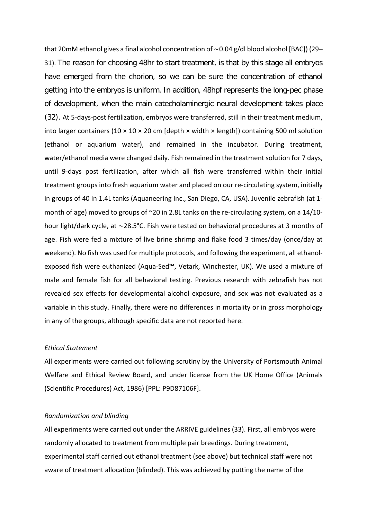that 20mM ethanol gives a final alcohol concentration of ∼0.04 g/dl blood alcohol [BAC]) (29– 31). The reason for choosing 48hr to start treatment, is that by this stage all embryos have emerged from the chorion, so we can be sure the concentration of ethanol getting into the embryos is uniform. In addition, 48hpf represents the long-pec phase of development, when the main catecholaminergic neural development takes place (32). At 5-days-post fertilization, embryos were transferred, still in their treatment medium, into larger containers (10  $\times$  10  $\times$  20 cm [depth  $\times$  width  $\times$  length]) containing 500 ml solution (ethanol or aquarium water), and remained in the incubator. During treatment, water/ethanol media were changed daily. Fish remained in the treatment solution for 7 days, until 9-days post fertilization, after which all fish were transferred within their initial treatment groups into fresh aquarium water and placed on our re-circulating system, initially in groups of 40 in 1.4L tanks (Aquaneering Inc., San Diego, CA, USA). Juvenile zebrafish (at 1 month of age) moved to groups of ~20 in 2.8L tanks on the re-circulating system, on a 14/10 hour light/dark cycle, at ∼28.5°C. Fish were tested on behavioral procedures at 3 months of age. Fish were fed a mixture of live brine shrimp and flake food 3 times/day (once/day at weekend). No fish was used for multiple protocols, and following the experiment, all ethanolexposed fish were euthanized (Aqua-Sed™, Vetark, Winchester, UK). We used a mixture of male and female fish for all behavioral testing. Previous research with zebrafish has not revealed sex effects for developmental alcohol exposure, and sex was not evaluated as a variable in this study. Finally, there were no differences in mortality or in gross morphology in any of the groups, although specific data are not reported here.

## *Ethical Statement*

All experiments were carried out following scrutiny by the University of Portsmouth Animal Welfare and Ethical Review Board, and under license from the UK Home Office (Animals (Scientific Procedures) Act, 1986) [PPL: P9D87106F].

# *Randomization and blinding*

All experiments were carried out under the ARRIVE guidelines (33). First, all embryos were randomly allocated to treatment from multiple pair breedings. During treatment, experimental staff carried out ethanol treatment (see above) but technical staff were not aware of treatment allocation (blinded). This was achieved by putting the name of the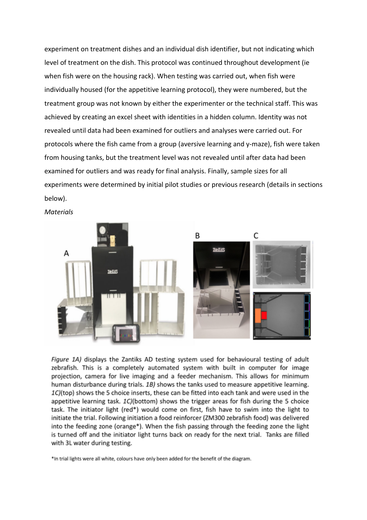experiment on treatment dishes and an individual dish identifier, but not indicating which level of treatment on the dish. This protocol was continued throughout development (ie when fish were on the housing rack). When testing was carried out, when fish were individually housed (for the appetitive learning protocol), they were numbered, but the treatment group was not known by either the experimenter or the technical staff. This was achieved by creating an excel sheet with identities in a hidden column. Identity was not revealed until data had been examined for outliers and analyses were carried out. For protocols where the fish came from a group (aversive learning and y-maze), fish were taken from housing tanks, but the treatment level was not revealed until after data had been examined for outliers and was ready for final analysis. Finally, sample sizes for all experiments were determined by initial pilot studies or previous research (details in sections below).



*Materials*

Figure 1A) displays the Zantiks AD testing system used for behavioural testing of adult zebrafish. This is a completely automated system with built in computer for image projection, camera for live imaging and a feeder mechanism. This allows for minimum human disturbance during trials. 1B) shows the tanks used to measure appetitive learning. 1C)(top) shows the 5 choice inserts, these can be fitted into each tank and were used in the appetitive learning task. 1C)(bottom) shows the trigger areas for fish during the 5 choice task. The initiator light (red\*) would come on first, fish have to swim into the light to initiate the trial. Following initiation a food reinforcer (ZM300 zebrafish food) was delivered into the feeding zone (orange\*). When the fish passing through the feeding zone the light is turned off and the initiator light turns back on ready for the next trial. Tanks are filled with 3L water during testing.

\*In trial lights were all white, colours have only been added for the benefit of the diagram.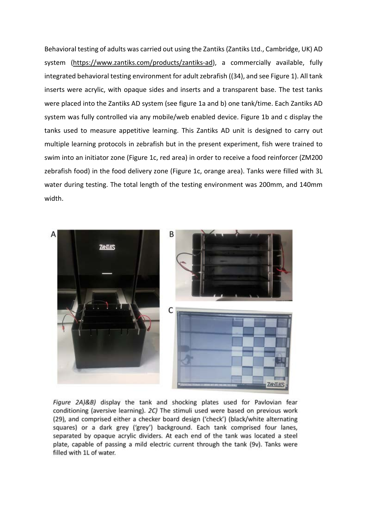Behavioral testing of adults was carried out using the Zantiks (Zantiks Ltd., Cambridge, UK) AD system (https://www.zantiks.com/products/zantiks-ad), a commercially available, fully integrated behavioral testing environment for adult zebrafish ((34), and see Figure 1). All tank inserts were acrylic, with opaque sides and inserts and a transparent base. The test tanks were placed into the Zantiks AD system (see figure 1a and b) one tank/time. Each Zantiks AD system was fully controlled via any mobile/web enabled device. Figure 1b and c display the tanks used to measure appetitive learning. This Zantiks AD unit is designed to carry out multiple learning protocols in zebrafish but in the present experiment, fish were trained to swim into an initiator zone (Figure 1c, red area) in order to receive a food reinforcer (ZM200 zebrafish food) in the food delivery zone (Figure 1c, orange area). Tanks were filled with 3L water during testing. The total length of the testing environment was 200mm, and 140mm width.



Figure 2A)&B) display the tank and shocking plates used for Pavlovian fear conditioning (aversive learning). 2C) The stimuli used were based on previous work (29), and comprised either a checker board design ('check') (black/white alternating squares) or a dark grey ('grey') background. Each tank comprised four lanes, separated by opaque acrylic dividers. At each end of the tank was located a steel plate, capable of passing a mild electric current through the tank (9v). Tanks were filled with 1L of water.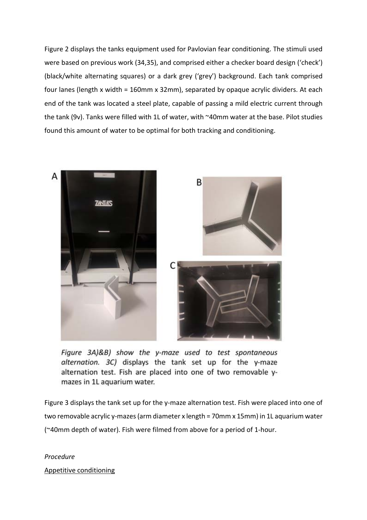Figure 2 displays the tanks equipment used for Pavlovian fear conditioning. The stimuli used were based on previous work (34,35), and comprised either a checker board design ('check') (black/white alternating squares) or a dark grey ('grey') background. Each tank comprised four lanes (length x width = 160mm x 32mm), separated by opaque acrylic dividers. At each end of the tank was located a steel plate, capable of passing a mild electric current through the tank (9v). Tanks were filled with 1L of water, with ~40mm water at the base. Pilot studies found this amount of water to be optimal for both tracking and conditioning.



Figure 3A)&B) show the y-maze used to test spontaneous alternation. 3C) displays the tank set up for the y-maze alternation test. Fish are placed into one of two removable ymazes in 1L aquarium water.

Figure 3 displays the tank set up for the y-maze alternation test. Fish were placed into one of two removable acrylic y-mazes(arm diameter x length = 70mm x 15mm) in 1L aquarium water (~40mm depth of water). Fish were filmed from above for a period of 1-hour.

*Procedure* Appetitive conditioning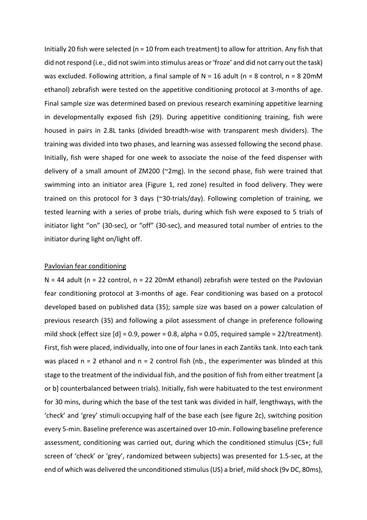Initially 20 fish were selected ( $n = 10$  from each treatment) to allow for attrition. Any fish that did not respond (i.e., did not swim into stimulus areas or 'froze' and did not carry out the task) was excluded. Following attrition, a final sample of  $N = 16$  adult (n = 8 control, n = 8 20mM ethanol) zebrafish were tested on the appetitive conditioning protocol at 3-months of age. Final sample size was determined based on previous research examining appetitive learning in developmentally exposed fish (29). During appetitive conditioning training, fish were housed in pairs in 2.8L tanks (divided breadth-wise with transparent mesh dividers). The training was divided into two phases, and learning was assessed following the second phase. Initially, fish were shaped for one week to associate the noise of the feed dispenser with delivery of a small amount of ZM200 (~2mg). In the second phase, fish were trained that swimming into an initiator area (Figure 1, red zone) resulted in food delivery. They were trained on this protocol for 3 days (~30-trials/day). Following completion of training, we tested learning with a series of probe trials, during which fish were exposed to 5 trials of initiator light "on" (30-sec), or "off" (30-sec), and measured total number of entries to the initiator during light on/light off.

## Pavlovian fear conditioning

 $N = 44$  adult (n = 22 control, n = 22 20mM ethanol) zebrafish were tested on the Pavlovian fear conditioning protocol at 3-months of age. Fear conditioning was based on a protocol developed based on published data (35); sample size was based on a power calculation of previous research (35) and following a pilot assessment of change in preference following mild shock (effect size [d] = 0.9, power = 0.8, alpha = 0.05, required sample = 22/treatment). First, fish were placed, individually, into one of four lanes in each Zantiks tank. Into each tank was placed  $n = 2$  ethanol and  $n = 2$  control fish (nb., the experimenter was blinded at this stage to the treatment of the individual fish, and the position of fish from either treatment [a or b] counterbalanced between trials). Initially, fish were habituated to the test environment for 30 mins, during which the base of the test tank was divided in half, lengthways, with the 'check' and 'grey' stimuli occupying half of the base each (see figure 2c), switching position every 5-min. Baseline preference was ascertained over 10-min. Following baseline preference assessment, conditioning was carried out, during which the conditioned stimulus (CS+; full screen of 'check' or 'grey', randomized between subjects) was presented for 1.5-sec, at the end of which was delivered the unconditioned stimulus (US) a brief, mild shock (9v DC, 80ms),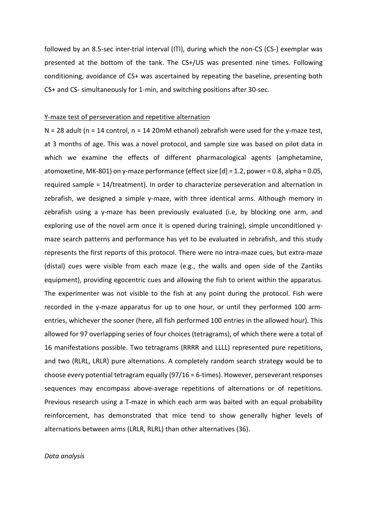followed by an 8.5-sec inter-trial interval (ITI), during which the non-CS (CS-) exemplar was presented at the bottom of the tank. The CS+/US was presented nine times. Following conditioning, avoidance of CS+ was ascertained by repeating the baseline, presenting both CS+ and CS- simultaneously for 1-min, and switching positions after 30-sec.

#### Y-maze test of perseveration and repetitive alternation

N = 28 adult (n = 14 control, n = 14 20mM ethanol) zebrafish were used for the y-maze test, at 3 months of age. This was a novel protocol, and sample size was based on pilot data in which we examine the effects of different pharmacological agents (amphetamine, atomoxetine, MK-801) on y-maze performance (effect size [d] = 1.2, power = 0.8, alpha = 0.05, required sample = 14/treatment). In order to characterize perseveration and alternation in zebrafish, we designed a simple y-maze, with three identical arms. Although memory in zebrafish using a y-maze has been previously evaluated (i.e, by blocking one arm, and exploring use of the novel arm once it is opened during training), simple unconditioned ymaze search patterns and performance has yet to be evaluated in zebrafish, and this study represents the first reports of this protocol. There were no intra-maze cues, but extra-maze (distal) cues were visible from each maze (e.g., the walls and open side of the Zantiks equipment), providing egocentric cues and allowing the fish to orient within the apparatus. The experimenter was not visible to the fish at any point during the protocol. Fish were recorded in the y-maze apparatus for up to one hour, or until they performed 100 armentries, whichever the sooner (here, all fish performed 100 entries in the allowed hour). This allowed for 97 overlapping series of four choices (tetragrams), of which there were a total of 16 manifestations possible. Two tetragrams (RRRR and LLLL) represented pure repetitions, and two (RLRL, LRLR) pure alternations. A completely random search strategy would be to choose every potential tetragram equally (97/16 = 6-times). However, perseverant responses sequences may encompass above-average repetitions of alternations or of repetitions. Previous research using a T-maze in which each arm was baited with an equal probability reinforcement, has demonstrated that mice tend to show generally higher levels of alternations between arms (LRLR, RLRL) than other alternatives (36).

## *Data analysis*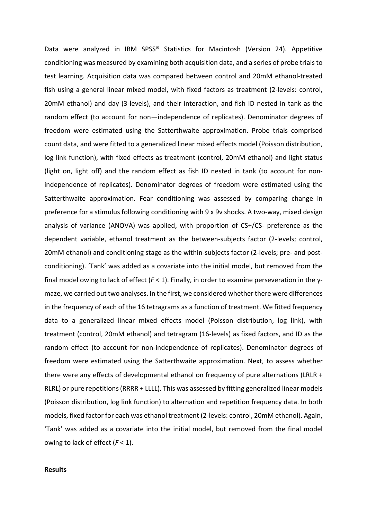Data were analyzed in IBM SPSS® Statistics for Macintosh (Version 24). Appetitive conditioning was measured by examining both acquisition data, and a series of probe trials to test learning. Acquisition data was compared between control and 20mM ethanol-treated fish using a general linear mixed model, with fixed factors as treatment (2-levels: control, 20mM ethanol) and day (3-levels), and their interaction, and fish ID nested in tank as the random effect (to account for non—independence of replicates). Denominator degrees of freedom were estimated using the Satterthwaite approximation. Probe trials comprised count data, and were fitted to a generalized linear mixed effects model (Poisson distribution, log link function), with fixed effects as treatment (control, 20mM ethanol) and light status (light on, light off) and the random effect as fish ID nested in tank (to account for nonindependence of replicates). Denominator degrees of freedom were estimated using the Satterthwaite approximation. Fear conditioning was assessed by comparing change in preference for a stimulus following conditioning with 9 x 9v shocks. A two-way, mixed design analysis of variance (ANOVA) was applied, with proportion of CS+/CS- preference as the dependent variable, ethanol treatment as the between-subjects factor (2-levels; control, 20mM ethanol) and conditioning stage as the within-subjects factor (2-levels; pre- and postconditioning). 'Tank' was added as a covariate into the initial model, but removed from the final model owing to lack of effect (*F* < 1). Finally, in order to examine perseveration in the ymaze, we carried out two analyses. In the first, we considered whether there were differences in the frequency of each of the 16 tetragrams as a function of treatment. We fitted frequency data to a generalized linear mixed effects model (Poisson distribution, log link), with treatment (control, 20mM ethanol) and tetragram (16-levels) as fixed factors, and ID as the random effect (to account for non-independence of replicates). Denominator degrees of freedom were estimated using the Satterthwaite approximation. Next, to assess whether there were any effects of developmental ethanol on frequency of pure alternations (LRLR + RLRL) or pure repetitions (RRRR + LLLL). This was assessed by fitting generalized linear models (Poisson distribution, log link function) to alternation and repetition frequency data. In both models, fixed factor for each was ethanol treatment (2-levels: control, 20mM ethanol). Again, 'Tank' was added as a covariate into the initial model, but removed from the final model owing to lack of effect (*F* < 1).

# **Results**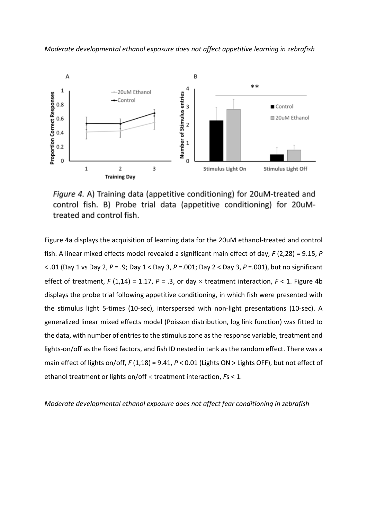

Figure 4. A) Training data (appetitive conditioning) for 20uM-treated and control fish. B) Probe trial data (appetitive conditioning) for 20uMtreated and control fish.

Figure 4a displays the acquisition of learning data for the 20uM ethanol-treated and control fish. A linear mixed effects model revealed a significant main effect of day, *F* (2,28) = 9.15, *P* < .01 (Day 1 vs Day 2, *P* = .9; Day 1 < Day 3, *P* =.001; Day 2 < Day 3, *P* =.001), but no significant effect of treatment,  $F(1,14) = 1.17$ ,  $P = .3$ , or day  $\times$  treatment interaction,  $F < 1$ . Figure 4b displays the probe trial following appetitive conditioning, in which fish were presented with the stimulus light 5-times (10-sec), interspersed with non-light presentations (10-sec). A generalized linear mixed effects model (Poisson distribution, log link function) was fitted to the data, with number of entries to the stimulus zone as the response variable, treatment and lights-on/off as the fixed factors, and fish ID nested in tank as the random effect. There was a main effect of lights on/off, *F* (1,18) = 9.41, *P* < 0.01 (Lights ON > Lights OFF), but not effect of ethanol treatment or lights on/off × treatment interaction, *F*s < 1.

*Moderate developmental ethanol exposure does not affect fear conditioning in zebrafish*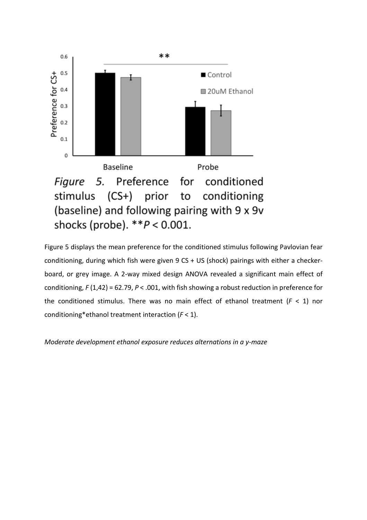

Figure 5 displays the mean preference for the conditioned stimulus following Pavlovian fear conditioning, during which fish were given 9 CS + US (shock) pairings with either a checkerboard, or grey image. A 2-way mixed design ANOVA revealed a significant main effect of conditioning, *F* (1,42) = 62.79, *P* < .001, with fish showing a robust reduction in preference for the conditioned stimulus. There was no main effect of ethanol treatment  $(F < 1)$  nor conditioning\*ethanol treatment interaction (*F* < 1).

*Moderate development ethanol exposure reduces alternations in a y-maze*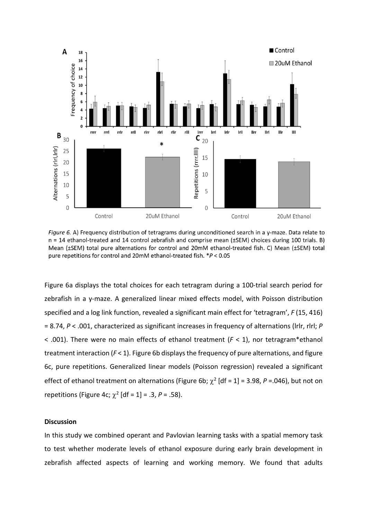

Figure 6. A) Frequency distribution of tetragrams during unconditioned search in a y-maze. Data relate to n = 14 ethanol-treated and 14 control zebrafish and comprise mean (±SEM) choices during 100 trials. B) Mean (±SEM) total pure alternations for control and 20mM ethanol-treated fish. C) Mean (±SEM) total pure repetitions for control and 20mM ethanol-treated fish. \*P < 0.05

Figure 6a displays the total choices for each tetragram during a 100-trial search period for zebrafish in a y-maze. A generalized linear mixed effects model, with Poisson distribution specified and a log link function, revealed a significant main effect for 'tetragram', *F* (15, 416) = 8.74, *P* < .001, characterized as significant increases in frequency of alternations (lrlr, rlrl; *P* < .001). There were no main effects of ethanol treatment (*F* < 1), nor tetragram\*ethanol treatment interaction  $(F < 1)$ . Figure 6b displays the frequency of pure alternations, and figure 6c, pure repetitions. Generalized linear models (Poisson regression) revealed a significant effect of ethanol treatment on alternations (Figure 6b;  $\chi^2$  [df = 1] = 3.98, P = 046), but not on repetitions (Figure 4c;  $\chi^2$  [df = 1] = .3, *P* = .58).

## **Discussion**

In this study we combined operant and Pavlovian learning tasks with a spatial memory task to test whether moderate levels of ethanol exposure during early brain development in zebrafish affected aspects of learning and working memory. We found that adults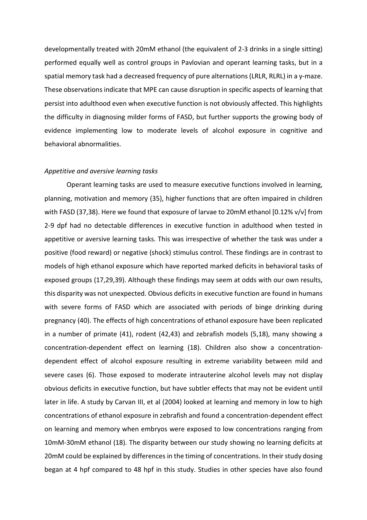developmentally treated with 20mM ethanol (the equivalent of 2-3 drinks in a single sitting) performed equally well as control groups in Pavlovian and operant learning tasks, but in a spatial memory task had a decreased frequency of pure alternations (LRLR, RLRL) in a y-maze. These observations indicate that MPE can cause disruption in specific aspects of learning that persist into adulthood even when executive function is not obviously affected. This highlights the difficulty in diagnosing milder forms of FASD, but further supports the growing body of evidence implementing low to moderate levels of alcohol exposure in cognitive and behavioral abnormalities.

#### *Appetitive and aversive learning tasks*

Operant learning tasks are used to measure executive functions involved in learning, planning, motivation and memory (35), higher functions that are often impaired in children with FASD (37,38). Here we found that exposure of larvae to 20mM ethanol [0.12% v/v] from 2-9 dpf had no detectable differences in executive function in adulthood when tested in appetitive or aversive learning tasks. This was irrespective of whether the task was under a positive (food reward) or negative (shock) stimulus control. These findings are in contrast to models of high ethanol exposure which have reported marked deficits in behavioral tasks of exposed groups (17,29,39). Although these findings may seem at odds with our own results, this disparity was not unexpected. Obvious deficits in executive function are found in humans with severe forms of FASD which are associated with periods of binge drinking during pregnancy (40). The effects of high concentrations of ethanol exposure have been replicated in a number of primate (41), rodent (42,43) and zebrafish models (5,18), many showing a concentration-dependent effect on learning (18). Children also show a concentrationdependent effect of alcohol exposure resulting in extreme variability between mild and severe cases (6). Those exposed to moderate intrauterine alcohol levels may not display obvious deficits in executive function, but have subtler effects that may not be evident until later in life. A study by Carvan III, et al (2004) looked at learning and memory in low to high concentrations of ethanol exposure in zebrafish and found a concentration-dependent effect on learning and memory when embryos were exposed to low concentrations ranging from 10mM-30mM ethanol (18). The disparity between our study showing no learning deficits at 20mM could be explained by differences in the timing of concentrations. In their study dosing began at 4 hpf compared to 48 hpf in this study. Studies in other species have also found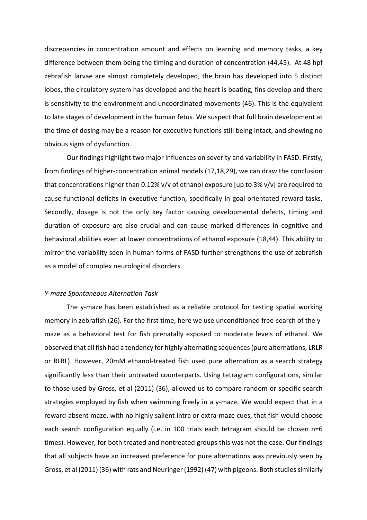discrepancies in concentration amount and effects on learning and memory tasks, a key difference between them being the timing and duration of concentration (44,45). At 48 hpf zebrafish larvae are almost completely developed, the brain has developed into 5 distinct lobes, the circulatory system has developed and the heart is beating, fins develop and there is sensitivity to the environment and uncoordinated movements (46). This is the equivalent to late stages of development in the human fetus. We suspect that full brain development at the time of dosing may be a reason for executive functions still being intact, and showing no obvious signs of dysfunction.

Our findings highlight two major influences on severity and variability in FASD. Firstly, from findings of higher-concentration animal models (17,18,29), we can draw the conclusion that concentrations higher than 0.12% v/v of ethanol exposure [up to 3% v/v] are required to cause functional deficits in executive function, specifically in goal-orientated reward tasks. Secondly, dosage is not the only key factor causing developmental defects, timing and duration of exposure are also crucial and can cause marked differences in cognitive and behavioral abilities even at lower concentrations of ethanol exposure (18,44). This ability to mirror the variability seen in human forms of FASD further strengthens the use of zebrafish as a model of complex neurological disorders.

## *Y-maze Spontaneous Alternation Task*

The y-maze has been established as a reliable protocol for testing spatial working memory in zebrafish (26). For the first time, here we use unconditioned free-search of the ymaze as a behavioral test for fish prenatally exposed to moderate levels of ethanol. We observed that all fish had a tendency for highly alternating sequences (pure alternations, LRLR or RLRL). However, 20mM ethanol-treated fish used pure alternation as a search strategy significantly less than their untreated counterparts. Using tetragram configurations, similar to those used by Gross, et al (2011) (36), allowed us to compare random or specific search strategies employed by fish when swimming freely in a y-maze. We would expect that in a reward-absent maze, with no highly salient intra or extra-maze cues, that fish would choose each search configuration equally (i.e. in 100 trials each tetragram should be chosen n=6 times). However, for both treated and nontreated groups this was not the case. Our findings that all subjects have an increased preference for pure alternations was previously seen by Gross, et al (2011) (36) with rats and Neuringer (1992) (47) with pigeons. Both studies similarly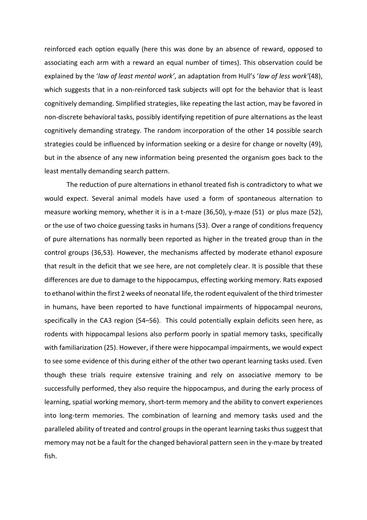reinforced each option equally (here this was done by an absence of reward, opposed to associating each arm with a reward an equal number of times). This observation could be explained by the '*law of least mental work'*, an adaptation from Hull's '*law of less work'*(48), which suggests that in a non-reinforced task subjects will opt for the behavior that is least cognitively demanding. Simplified strategies, like repeating the last action, may be favored in non-discrete behavioral tasks, possibly identifying repetition of pure alternations as the least cognitively demanding strategy. The random incorporation of the other 14 possible search strategies could be influenced by information seeking or a desire for change or novelty (49), but in the absence of any new information being presented the organism goes back to the least mentally demanding search pattern.

The reduction of pure alternations in ethanol treated fish is contradictory to what we would expect. Several animal models have used a form of spontaneous alternation to measure working memory, whether it is in a t-maze (36,50), y-maze (51) or plus maze (52), or the use of two choice guessing tasks in humans (53). Over a range of conditions frequency of pure alternations has normally been reported as higher in the treated group than in the control groups (36,53). However, the mechanisms affected by moderate ethanol exposure that result in the deficit that we see here, are not completely clear. It is possible that these differences are due to damage to the hippocampus, effecting working memory. Rats exposed to ethanol within the first 2 weeks of neonatal life, the rodent equivalent of the third trimester in humans, have been reported to have functional impairments of hippocampal neurons, specifically in the CA3 region (54–56). This could potentially explain deficits seen here, as rodents with hippocampal lesions also perform poorly in spatial memory tasks, specifically with familiarization (25). However, if there were hippocampal impairments, we would expect to see some evidence of this during either of the other two operant learning tasks used. Even though these trials require extensive training and rely on associative memory to be successfully performed, they also require the hippocampus, and during the early process of learning, spatial working memory, short-term memory and the ability to convert experiences into long-term memories. The combination of learning and memory tasks used and the paralleled ability of treated and control groups in the operant learning tasks thus suggest that memory may not be a fault for the changed behavioral pattern seen in the y-maze by treated fish.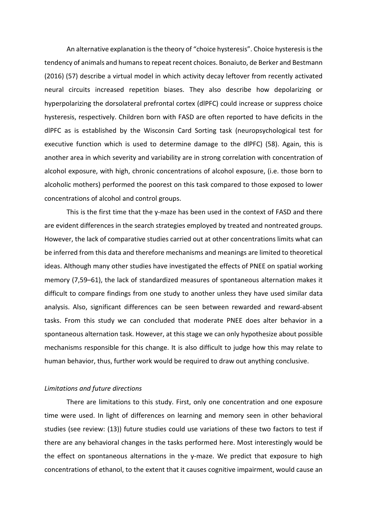An alternative explanation is the theory of "choice hysteresis". Choice hysteresis is the tendency of animals and humans to repeat recent choices. Bonaiuto, de Berker and Bestmann (2016) (57) describe a virtual model in which activity decay leftover from recently activated neural circuits increased repetition biases. They also describe how depolarizing or hyperpolarizing the dorsolateral prefrontal cortex (dlPFC) could increase or suppress choice hysteresis, respectively. Children born with FASD are often reported to have deficits in the dlPFC as is established by the Wisconsin Card Sorting task (neuropsychological test for executive function which is used to determine damage to the dlPFC) (58). Again, this is another area in which severity and variability are in strong correlation with concentration of alcohol exposure, with high, chronic concentrations of alcohol exposure, (i.e. those born to alcoholic mothers) performed the poorest on this task compared to those exposed to lower concentrations of alcohol and control groups.

This is the first time that the y-maze has been used in the context of FASD and there are evident differences in the search strategies employed by treated and nontreated groups. However, the lack of comparative studies carried out at other concentrations limits what can be inferred from this data and therefore mechanisms and meanings are limited to theoretical ideas. Although many other studies have investigated the effects of PNEE on spatial working memory (7,59–61), the lack of standardized measures of spontaneous alternation makes it difficult to compare findings from one study to another unless they have used similar data analysis. Also, significant differences can be seen between rewarded and reward-absent tasks. From this study we can concluded that moderate PNEE does alter behavior in a spontaneous alternation task. However, at this stage we can only hypothesize about possible mechanisms responsible for this change. It is also difficult to judge how this may relate to human behavior, thus, further work would be required to draw out anything conclusive.

## *Limitations and future directions*

There are limitations to this study. First, only one concentration and one exposure time were used. In light of differences on learning and memory seen in other behavioral studies (see review: (13)) future studies could use variations of these two factors to test if there are any behavioral changes in the tasks performed here. Most interestingly would be the effect on spontaneous alternations in the y-maze. We predict that exposure to high concentrations of ethanol, to the extent that it causes cognitive impairment, would cause an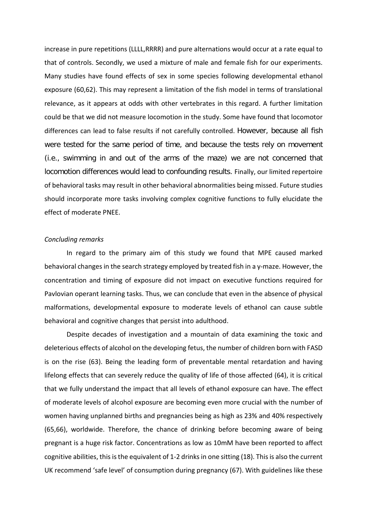increase in pure repetitions (LLLL,RRRR) and pure alternations would occur at a rate equal to that of controls. Secondly, we used a mixture of male and female fish for our experiments. Many studies have found effects of sex in some species following developmental ethanol exposure (60,62). This may represent a limitation of the fish model in terms of translational relevance, as it appears at odds with other vertebrates in this regard. A further limitation could be that we did not measure locomotion in the study. Some have found that locomotor differences can lead to false results if not carefully controlled. However, because all fish were tested for the same period of time, and because the tests rely on movement (i.e., swimming in and out of the arms of the maze) we are not concerned that locomotion differences would lead to confounding results. Finally, our limited repertoire of behavioral tasks may result in other behavioral abnormalities being missed. Future studies should incorporate more tasks involving complex cognitive functions to fully elucidate the effect of moderate PNEE.

# *Concluding remarks*

In regard to the primary aim of this study we found that MPE caused marked behavioral changes in the search strategy employed by treated fish in a y-maze. However, the concentration and timing of exposure did not impact on executive functions required for Pavlovian operant learning tasks. Thus, we can conclude that even in the absence of physical malformations, developmental exposure to moderate levels of ethanol can cause subtle behavioral and cognitive changes that persist into adulthood.

Despite decades of investigation and a mountain of data examining the toxic and deleterious effects of alcohol on the developing fetus, the number of children born with FASD is on the rise (63). Being the leading form of preventable mental retardation and having lifelong effects that can severely reduce the quality of life of those affected (64), it is critical that we fully understand the impact that all levels of ethanol exposure can have. The effect of moderate levels of alcohol exposure are becoming even more crucial with the number of women having unplanned births and pregnancies being as high as 23% and 40% respectively (65,66), worldwide. Therefore, the chance of drinking before becoming aware of being pregnant is a huge risk factor. Concentrations as low as 10mM have been reported to affect cognitive abilities, this is the equivalent of 1-2 drinks in one sitting (18). This is also the current UK recommend 'safe level' of consumption during pregnancy (67). With guidelines like these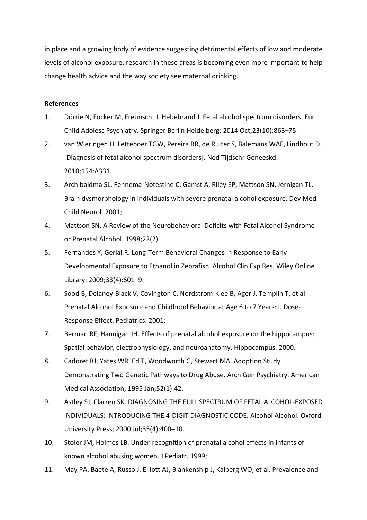in place and a growing body of evidence suggesting detrimental effects of low and moderate levels of alcohol exposure, research in these areas is becoming even more important to help change health advice and the way society see maternal drinking.

# **References**

- 1. Dörrie N, Föcker M, Freunscht I, Hebebrand J. Fetal alcohol spectrum disorders. Eur Child Adolesc Psychiatry. Springer Berlin Heidelberg; 2014 Oct;23(10):863–75.
- 2. van Wieringen H, Letteboer TGW, Pereira RR, de Ruiter S, Balemans WAF, Lindhout D. [Diagnosis of fetal alcohol spectrum disorders]. Ned Tijdschr Geneeskd. 2010;154:A331.
- 3. Archibaldma SL, Fennema-Notestine C, Gamst A, Riley EP, Mattson SN, Jernigan TL. Brain dysmorphology in individuals with severe prenatal alcohol exposure. Dev Med Child Neurol. 2001;
- 4. Mattson SN. A Review of the Neurobehavioral Deficits with Fetal Alcohol Syndrome or Prenatal Alcohol. 1998;22(2).
- 5. Fernandes Y, Gerlai R. Long-Term Behavioral Changes in Response to Early Developmental Exposure to Ethanol in Zebrafish. Alcohol Clin Exp Res. Wiley Online Library; 2009;33(4):601–9.
- 6. Sood B, Delaney-Black V, Covington C, Nordstrom-Klee B, Ager J, Templin T, et al. Prenatal Alcohol Exposure and Childhood Behavior at Age 6 to 7 Years: I. Dose-Response Effect. Pediatrics. 2001;
- 7. Berman RF, Hannigan JH. Effects of prenatal alcohol exposure on the hippocampus: Spatial behavior, electrophysiology, and neuroanatomy. Hippocampus. 2000.
- 8. Cadoret RJ, Yates WR, Ed T, Woodworth G, Stewart MA. Adoption Study Demonstrating Two Genetic Pathways to Drug Abuse. Arch Gen Psychiatry. American Medical Association; 1995 Jan;52(1):42.
- 9. Astley SJ, Clarren SK. DIAGNOSING THE FULL SPECTRUM OF FETAL ALCOHOL-EXPOSED INDIVIDUALS: INTRODUCING THE 4-DIGIT DIAGNOSTIC CODE. Alcohol Alcohol. Oxford University Press; 2000 Jul;35(4):400–10.
- 10. Stoler JM, Holmes LB. Under-recognition of prenatal alcohol effects in infants of known alcohol abusing women. J Pediatr. 1999;
- 11. May PA, Baete A, Russo J, Elliott AJ, Blankenship J, Kalberg WO, et al. Prevalence and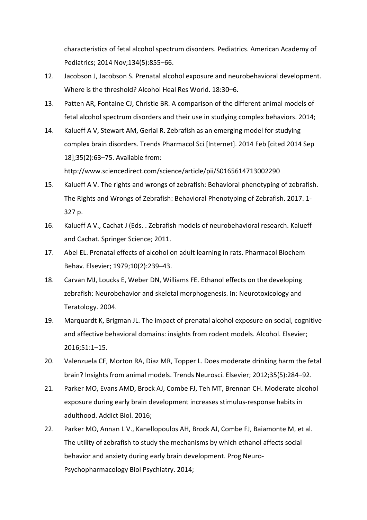characteristics of fetal alcohol spectrum disorders. Pediatrics. American Academy of Pediatrics; 2014 Nov;134(5):855–66.

- 12. Jacobson J, Jacobson S. Prenatal alcohol exposure and neurobehavioral development. Where is the threshold? Alcohol Heal Res World. 18:30–6.
- 13. Patten AR, Fontaine CJ, Christie BR. A comparison of the different animal models of fetal alcohol spectrum disorders and their use in studying complex behaviors. 2014;
- 14. Kalueff A V, Stewart AM, Gerlai R. Zebrafish as an emerging model for studying complex brain disorders. Trends Pharmacol Sci [Internet]. 2014 Feb [cited 2014 Sep 18];35(2):63–75. Available from: http://www.sciencedirect.com/science/article/pii/S0165614713002290
- 15. Kalueff A V. The rights and wrongs of zebrafish: Behavioral phenotyping of zebrafish. The Rights and Wrongs of Zebrafish: Behavioral Phenotyping of Zebrafish. 2017. 1- 327 p.
- 16. Kalueff A V., Cachat J (Eds. . Zebrafish models of neurobehavioral research. Kalueff and Cachat. Springer Science; 2011.
- 17. Abel EL. Prenatal effects of alcohol on adult learning in rats. Pharmacol Biochem Behav. Elsevier; 1979;10(2):239–43.
- 18. Carvan MJ, Loucks E, Weber DN, Williams FE. Ethanol effects on the developing zebrafish: Neurobehavior and skeletal morphogenesis. In: Neurotoxicology and Teratology. 2004.
- 19. Marquardt K, Brigman JL. The impact of prenatal alcohol exposure on social, cognitive and affective behavioral domains: insights from rodent models. Alcohol. Elsevier; 2016;51:1–15.
- 20. Valenzuela CF, Morton RA, Diaz MR, Topper L. Does moderate drinking harm the fetal brain? Insights from animal models. Trends Neurosci. Elsevier; 2012;35(5):284–92.
- 21. Parker MO, Evans AMD, Brock AJ, Combe FJ, Teh MT, Brennan CH. Moderate alcohol exposure during early brain development increases stimulus-response habits in adulthood. Addict Biol. 2016;
- 22. Parker MO, Annan L V., Kanellopoulos AH, Brock AJ, Combe FJ, Baiamonte M, et al. The utility of zebrafish to study the mechanisms by which ethanol affects social behavior and anxiety during early brain development. Prog Neuro-Psychopharmacology Biol Psychiatry. 2014;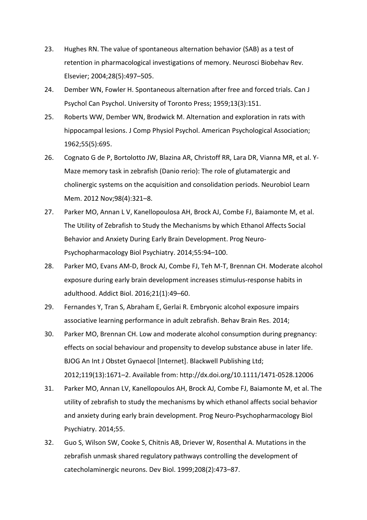- 23. Hughes RN. The value of spontaneous alternation behavior (SAB) as a test of retention in pharmacological investigations of memory. Neurosci Biobehav Rev. Elsevier; 2004;28(5):497–505.
- 24. Dember WN, Fowler H. Spontaneous alternation after free and forced trials. Can J Psychol Can Psychol. University of Toronto Press; 1959;13(3):151.
- 25. Roberts WW, Dember WN, Brodwick M. Alternation and exploration in rats with hippocampal lesions. J Comp Physiol Psychol. American Psychological Association; 1962;55(5):695.
- 26. Cognato G de P, Bortolotto JW, Blazina AR, Christoff RR, Lara DR, Vianna MR, et al. Y-Maze memory task in zebrafish (Danio rerio): The role of glutamatergic and cholinergic systems on the acquisition and consolidation periods. Neurobiol Learn Mem. 2012 Nov;98(4):321–8.
- 27. Parker MO, Annan L V, Kanellopoulosa AH, Brock AJ, Combe FJ, Baiamonte M, et al. The Utility of Zebrafish to Study the Mechanisms by which Ethanol Affects Social Behavior and Anxiety During Early Brain Development. Prog Neuro-Psychopharmacology Biol Psychiatry. 2014;55:94–100.
- 28. Parker MO, Evans AM-D, Brock AJ, Combe FJ, Teh M-T, Brennan CH. Moderate alcohol exposure during early brain development increases stimulus-response habits in adulthood. Addict Biol. 2016;21(1):49–60.
- 29. Fernandes Y, Tran S, Abraham E, Gerlai R. Embryonic alcohol exposure impairs associative learning performance in adult zebrafish. Behav Brain Res. 2014;
- 30. Parker MO, Brennan CH. Low and moderate alcohol consumption during pregnancy: effects on social behaviour and propensity to develop substance abuse in later life. BJOG An Int J Obstet Gynaecol [Internet]. Blackwell Publishing Ltd; 2012;119(13):1671–2. Available from: http://dx.doi.org/10.1111/1471-0528.12006
- 31. Parker MO, Annan LV, Kanellopoulos AH, Brock AJ, Combe FJ, Baiamonte M, et al. The utility of zebrafish to study the mechanisms by which ethanol affects social behavior and anxiety during early brain development. Prog Neuro-Psychopharmacology Biol Psychiatry. 2014;55.
- 32. Guo S, Wilson SW, Cooke S, Chitnis AB, Driever W, Rosenthal A. Mutations in the zebrafish unmask shared regulatory pathways controlling the development of catecholaminergic neurons. Dev Biol. 1999;208(2):473–87.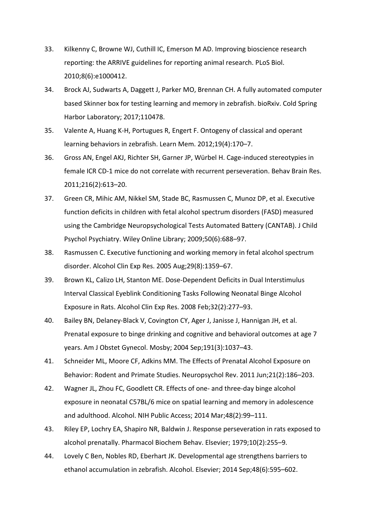- 33. Kilkenny C, Browne WJ, Cuthill IC, Emerson M AD. Improving bioscience research reporting: the ARRIVE guidelines for reporting animal research. PLoS Biol. 2010;8(6):e1000412.
- 34. Brock AJ, Sudwarts A, Daggett J, Parker MO, Brennan CH. A fully automated computer based Skinner box for testing learning and memory in zebrafish. bioRxiv. Cold Spring Harbor Laboratory; 2017;110478.
- 35. Valente A, Huang K-H, Portugues R, Engert F. Ontogeny of classical and operant learning behaviors in zebrafish. Learn Mem. 2012;19(4):170–7.
- 36. Gross AN, Engel AKJ, Richter SH, Garner JP, Würbel H. Cage-induced stereotypies in female ICR CD-1 mice do not correlate with recurrent perseveration. Behav Brain Res. 2011;216(2):613–20.
- 37. Green CR, Mihic AM, Nikkel SM, Stade BC, Rasmussen C, Munoz DP, et al. Executive function deficits in children with fetal alcohol spectrum disorders (FASD) measured using the Cambridge Neuropsychological Tests Automated Battery (CANTAB). J Child Psychol Psychiatry. Wiley Online Library; 2009;50(6):688–97.
- 38. Rasmussen C. Executive functioning and working memory in fetal alcohol spectrum disorder. Alcohol Clin Exp Res. 2005 Aug;29(8):1359–67.
- 39. Brown KL, Calizo LH, Stanton ME. Dose-Dependent Deficits in Dual Interstimulus Interval Classical Eyeblink Conditioning Tasks Following Neonatal Binge Alcohol Exposure in Rats. Alcohol Clin Exp Res. 2008 Feb;32(2):277–93.
- 40. Bailey BN, Delaney-Black V, Covington CY, Ager J, Janisse J, Hannigan JH, et al. Prenatal exposure to binge drinking and cognitive and behavioral outcomes at age 7 years. Am J Obstet Gynecol. Mosby; 2004 Sep;191(3):1037–43.
- 41. Schneider ML, Moore CF, Adkins MM. The Effects of Prenatal Alcohol Exposure on Behavior: Rodent and Primate Studies. Neuropsychol Rev. 2011 Jun;21(2):186–203.
- 42. Wagner JL, Zhou FC, Goodlett CR. Effects of one- and three-day binge alcohol exposure in neonatal C57BL/6 mice on spatial learning and memory in adolescence and adulthood. Alcohol. NIH Public Access; 2014 Mar;48(2):99–111.
- 43. Riley EP, Lochry EA, Shapiro NR, Baldwin J. Response perseveration in rats exposed to alcohol prenatally. Pharmacol Biochem Behav. Elsevier; 1979;10(2):255–9.
- 44. Lovely C Ben, Nobles RD, Eberhart JK. Developmental age strengthens barriers to ethanol accumulation in zebrafish. Alcohol. Elsevier; 2014 Sep;48(6):595–602.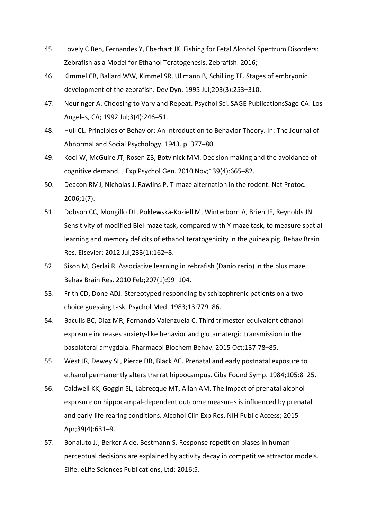- 45. Lovely C Ben, Fernandes Y, Eberhart JK. Fishing for Fetal Alcohol Spectrum Disorders: Zebrafish as a Model for Ethanol Teratogenesis. Zebrafish. 2016;
- 46. Kimmel CB, Ballard WW, Kimmel SR, Ullmann B, Schilling TF. Stages of embryonic development of the zebrafish. Dev Dyn. 1995 Jul;203(3):253–310.
- 47. Neuringer A. Choosing to Vary and Repeat. Psychol Sci. SAGE PublicationsSage CA: Los Angeles, CA; 1992 Jul;3(4):246–51.
- 48. Hull CL. Principles of Behavior: An Introduction to Behavior Theory. In: The Journal of Abnormal and Social Psychology. 1943. p. 377–80.
- 49. Kool W, McGuire JT, Rosen ZB, Botvinick MM. Decision making and the avoidance of cognitive demand. J Exp Psychol Gen. 2010 Nov;139(4):665–82.
- 50. Deacon RMJ, Nicholas J, Rawlins P. T-maze alternation in the rodent. Nat Protoc. 2006;1(7).
- 51. Dobson CC, Mongillo DL, Poklewska-Koziell M, Winterborn A, Brien JF, Reynolds JN. Sensitivity of modified Biel-maze task, compared with Y-maze task, to measure spatial learning and memory deficits of ethanol teratogenicity in the guinea pig. Behav Brain Res. Elsevier; 2012 Jul;233(1):162–8.
- 52. Sison M, Gerlai R. Associative learning in zebrafish (Danio rerio) in the plus maze. Behav Brain Res. 2010 Feb;207(1):99–104.
- 53. Frith CD, Done ADJ. Stereotyped responding by schizophrenic patients on a twochoice guessing task. Psychol Med. 1983;13:779–86.
- 54. Baculis BC, Diaz MR, Fernando Valenzuela C. Third trimester-equivalent ethanol exposure increases anxiety-like behavior and glutamatergic transmission in the basolateral amygdala. Pharmacol Biochem Behav. 2015 Oct;137:78–85.
- 55. West JR, Dewey SL, Pierce DR, Black AC. Prenatal and early postnatal exposure to ethanol permanently alters the rat hippocampus. Ciba Found Symp. 1984;105:8–25.
- 56. Caldwell KK, Goggin SL, Labrecque MT, Allan AM. The impact of prenatal alcohol exposure on hippocampal-dependent outcome measures is influenced by prenatal and early-life rearing conditions. Alcohol Clin Exp Res. NIH Public Access; 2015 Apr;39(4):631–9.
- 57. Bonaiuto JJ, Berker A de, Bestmann S. Response repetition biases in human perceptual decisions are explained by activity decay in competitive attractor models. Elife. eLife Sciences Publications, Ltd; 2016;5.